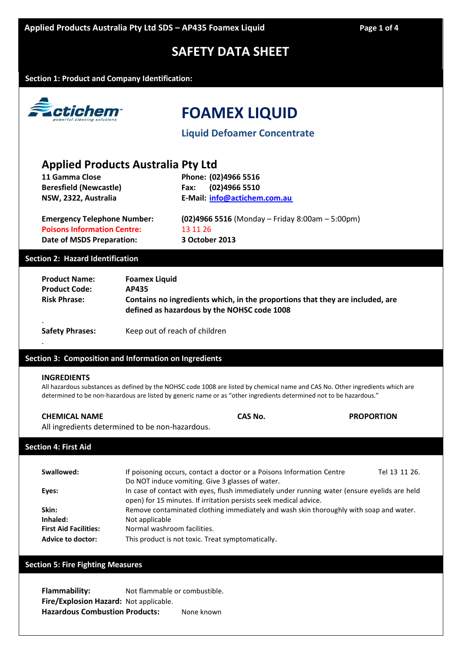# **SAFETY DATA SHEET**

### **Section 1: Product and Company Identification:**



# **FOAMEX LIQUID**

**Liquid Defoamer Concentrate**

# **Applied Products Australia Pty Ltd**

| 11 Gamma Close                            | Phone: (02)4966 5516                |
|-------------------------------------------|-------------------------------------|
| <b>Beresfield (Newcastle)</b>             | (02)4966 5510<br>Fax:               |
| NSW, 2322, Australia                      | E-Mail: info@actichem.com.au        |
|                                           |                                     |
| For over a control on boys a Muscale over | $102$ $10000$ $F = 10$ $(01000$ $)$ |

**Poisons Information Centre:** 13 11 26 **Date of MSDS Preparation: 3 October 2013**

**Emergency Telephone Number: (02)4966 5516** (Monday – Friday 8:00am – 5:00pm)

### **Section 2: Hazard Identification**

| <b>Product Name:</b>   | <b>Foamex Liquid</b>                                                                                                         |
|------------------------|------------------------------------------------------------------------------------------------------------------------------|
| <b>Product Code:</b>   | AP435                                                                                                                        |
| <b>Risk Phrase:</b>    | Contains no ingredients which, in the proportions that they are included, are<br>defined as hazardous by the NOHSC code 1008 |
| <b>Safety Phrases:</b> | Keep out of reach of children                                                                                                |

### **Section 3: Composition and Information on Ingredients**

#### **INGREDIENTS**

.

All hazardous substances as defined by the NOHSC code 1008 are listed by chemical name and CAS No. Other ingredients which are determined to be non-hazardous are listed by generic name or as "other ingredients determined not to be hazardous."

# **CHEMICAL NAME CAS No. PROPORTION**

All ingredients determined to be non-hazardous.

# **Section 4: First Aid**

| Swallowed:                   | If poisoning occurs, contact a doctor or a Poisons Information Centre                        | Tel 13 11 26. |
|------------------------------|----------------------------------------------------------------------------------------------|---------------|
|                              | Do NOT induce vomiting. Give 3 glasses of water.                                             |               |
| Eyes:                        | In case of contact with eyes, flush immediately under running water (ensure eyelids are held |               |
|                              | open) for 15 minutes. If irritation persists seek medical advice.                            |               |
| Skin:                        | Remove contaminated clothing immediately and wash skin thoroughly with soap and water.       |               |
| Inhaled:                     | Not applicable                                                                               |               |
| <b>First Aid Facilities:</b> | Normal washroom facilities.                                                                  |               |
| <b>Advice to doctor:</b>     | This product is not toxic. Treat symptomatically.                                            |               |

# **Section 5: Fire Fighting Measures**

**Flammability:** Not flammable or combustible. **Fire/Explosion Hazard:** Not applicable. **Hazardous Combustion Products:** None known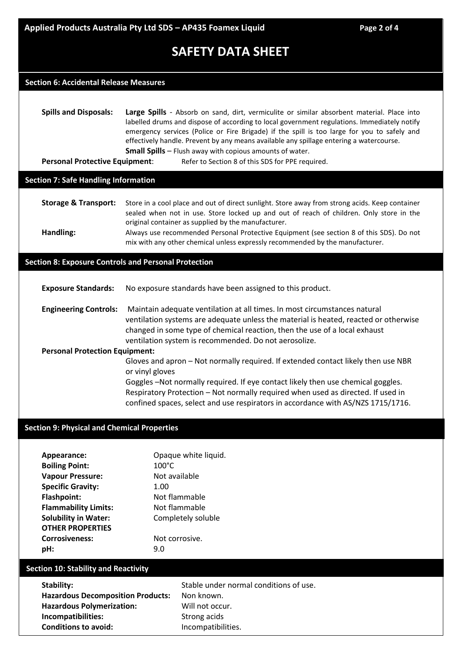# **SAFETY DATA SHEET**

# **Section 6: Accidental Release Measures**

**Spills and Disposals: Large Spills** - Absorb on sand, dirt, vermiculite or similar absorbent material. Place into labelled drums and dispose of according to local government regulations. Immediately notify emergency services (Police or Fire Brigade) if the spill is too large for you to safely and effectively handle. Prevent by any means available any spillage entering a watercourse. **Small Spills** – Flush away with copious amounts of water.

**Personal Protective Equipment:** Refer to Section 8 of this SDS for PPE required.

### **Section 7: Safe Handling Information**

| <b>Storage &amp; Transport:</b> | Store in a cool place and out of direct sunlight. Store away from strong acids. Keep container |  |
|---------------------------------|------------------------------------------------------------------------------------------------|--|
|                                 | sealed when not in use. Store locked up and out of reach of children. Only store in the        |  |
|                                 | original container as supplied by the manufacturer.                                            |  |
| Handling:                       | Always use recommended Personal Protective Equipment (see section 8 of this SDS). Do not       |  |

mix with any other chemical unless expressly recommended by the manufacturer.

# **Section 8: Exposure Controls and Personal Protection**

| <b>Exposure Standards:</b>            | No exposure standards have been assigned to this product.                                                                                                                                                                                                                                                |
|---------------------------------------|----------------------------------------------------------------------------------------------------------------------------------------------------------------------------------------------------------------------------------------------------------------------------------------------------------|
| <b>Engineering Controls:</b>          | Maintain adequate ventilation at all times. In most circumstances natural<br>ventilation systems are adequate unless the material is heated, reacted or otherwise<br>changed in some type of chemical reaction, then the use of a local exhaust<br>ventilation system is recommended. Do not aerosolize. |
| <b>Personal Protection Equipment:</b> |                                                                                                                                                                                                                                                                                                          |
|                                       | Gloves and apron - Not normally required. If extended contact likely then use NBR<br>or vinyl gloves                                                                                                                                                                                                     |
|                                       | Goggles -Not normally required. If eye contact likely then use chemical goggles.<br>Respiratory Protection - Not normally required when used as directed. If used in<br>confined spaces, select and use respirators in accordance with AS/NZS 1715/1716.                                                 |

#### **Section 9: Physical and Chemical Properties**

| Appearance:                 | Opaque white liquid. |
|-----------------------------|----------------------|
| <b>Boiling Point:</b>       | $100^{\circ}$ C      |
| <b>Vapour Pressure:</b>     | Not available        |
| <b>Specific Gravity:</b>    | 1.00                 |
| <b>Flashpoint:</b>          | Not flammable        |
| <b>Flammability Limits:</b> | Not flammable        |
| <b>Solubility in Water:</b> | Completely soluble   |
| <b>OTHER PROPERTIES</b>     |                      |
| <b>Corrosiveness:</b>       | Not corrosive.       |
| pH:                         | 9.N                  |

# **Section 10: Stability and Reactivity**

| Stability:                               | Stable under normal conditions of use. |
|------------------------------------------|----------------------------------------|
| <b>Hazardous Decomposition Products:</b> | Non known.                             |
| <b>Hazardous Polymerization:</b>         | Will not occur.                        |
| Incompatibilities:                       | Strong acids                           |
| <b>Conditions to avoid:</b>              | Incompatibilities.                     |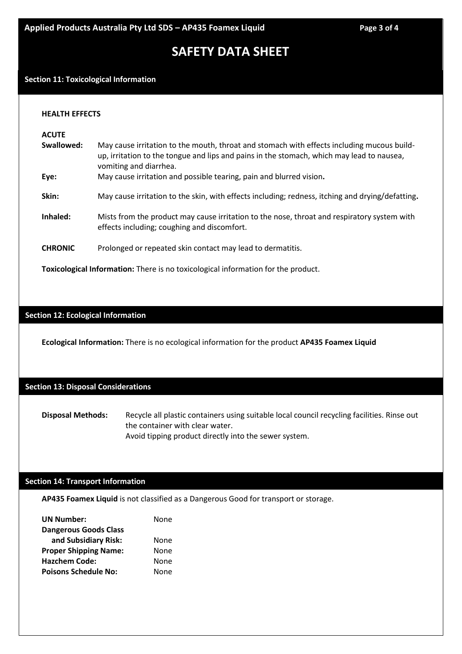# **SAFETY DATA SHEET**

### **Section 11: Toxicological Information**

#### **HEALTH EFFECTS**

| <b>ACUTE</b><br>Swallowed:                                                               | May cause irritation to the mouth, throat and stomach with effects including mucous build-<br>up, irritation to the tongue and lips and pains in the stomach, which may lead to nausea,<br>vomiting and diarrhea. |  |
|------------------------------------------------------------------------------------------|-------------------------------------------------------------------------------------------------------------------------------------------------------------------------------------------------------------------|--|
| Eye:                                                                                     | May cause irritation and possible tearing, pain and blurred vision.                                                                                                                                               |  |
| Skin:                                                                                    | May cause irritation to the skin, with effects including; redness, itching and drying/defatting.                                                                                                                  |  |
| Inhaled:                                                                                 | Mists from the product may cause irritation to the nose, throat and respiratory system with<br>effects including; coughing and discomfort.                                                                        |  |
| <b>CHRONIC</b>                                                                           | Prolonged or repeated skin contact may lead to dermatitis.                                                                                                                                                        |  |
| <b>Toxicological Information:</b> There is no toxicological information for the product. |                                                                                                                                                                                                                   |  |

# **Section 12: Ecological Information**

**Ecological Information:** There is no ecological information for the product **AP435 Foamex Liquid**

# **Section 13: Disposal Considerations**

**Disposal Methods:** Recycle all plastic containers using suitable local council recycling facilities. Rinse out the container with clear water. Avoid tipping product directly into the sewer system.

# **Section 14: Transport Information**

**AP435 Foamex Liquid** is not classified as a Dangerous Good for transport or storage.

| None |
|------|
|      |
| None |
| None |
| None |
| None |
|      |